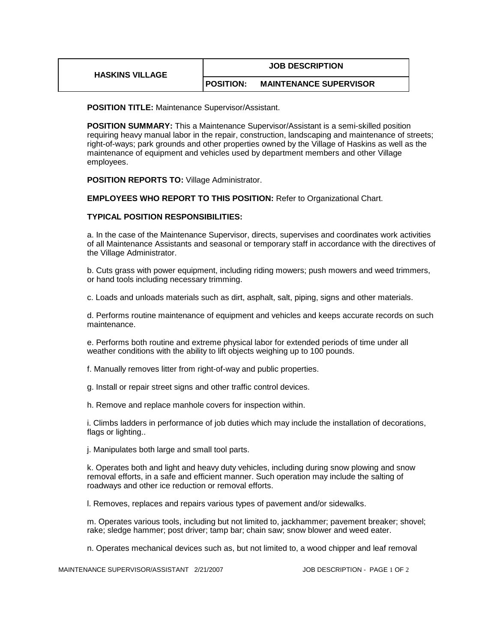| <b>HASKINS VILLAGE</b> | <b>JOB DESCRIPTION</b> |                               |
|------------------------|------------------------|-------------------------------|
|                        | <b>IPOSITION:</b>      | <b>MAINTENANCE SUPERVISOR</b> |

**POSITION TITLE:** Maintenance Supervisor/Assistant.

**POSITION SUMMARY:** This a Maintenance Supervisor/Assistant is a semi-skilled position requiring heavy manual labor in the repair, construction, landscaping and maintenance of streets; right-of-ways; park grounds and other properties owned by the Village of Haskins as well as the maintenance of equipment and vehicles used by department members and other Village employees.

**POSITION REPORTS TO:** Village Administrator.

**EMPLOYEES WHO REPORT TO THIS POSITION:** Refer to Organizational Chart.

## **TYPICAL POSITION RESPONSIBILITIES:**

a. In the case of the Maintenance Supervisor, directs, supervises and coordinates work activities of all Maintenance Assistants and seasonal or temporary staff in accordance with the directives of the Village Administrator.

b. Cuts grass with power equipment, including riding mowers; push mowers and weed trimmers, or hand tools including necessary trimming.

c. Loads and unloads materials such as dirt, asphalt, salt, piping, signs and other materials.

d. Performs routine maintenance of equipment and vehicles and keeps accurate records on such maintenance.

e. Performs both routine and extreme physical labor for extended periods of time under all weather conditions with the ability to lift objects weighing up to 100 pounds.

f. Manually removes litter from right-of-way and public properties.

g. Install or repair street signs and other traffic control devices.

h. Remove and replace manhole covers for inspection within.

i. Climbs ladders in performance of job duties which may include the installation of decorations, flags or lighting..

j. Manipulates both large and small tool parts.

k. Operates both and light and heavy duty vehicles, including during snow plowing and snow removal efforts, in a safe and efficient manner. Such operation may include the salting of roadways and other ice reduction or removal efforts.

l. Removes, replaces and repairs various types of pavement and/or sidewalks.

m. Operates various tools, including but not limited to, jackhammer; pavement breaker; shovel; rake; sledge hammer; post driver; tamp bar; chain saw; snow blower and weed eater.

n. Operates mechanical devices such as, but not limited to, a wood chipper and leaf removal

MAINTENANCE SUPERVISOR/ASSISTANT 2/21/2007 JOB DESCRIPTION - PAGE 1 OF 2